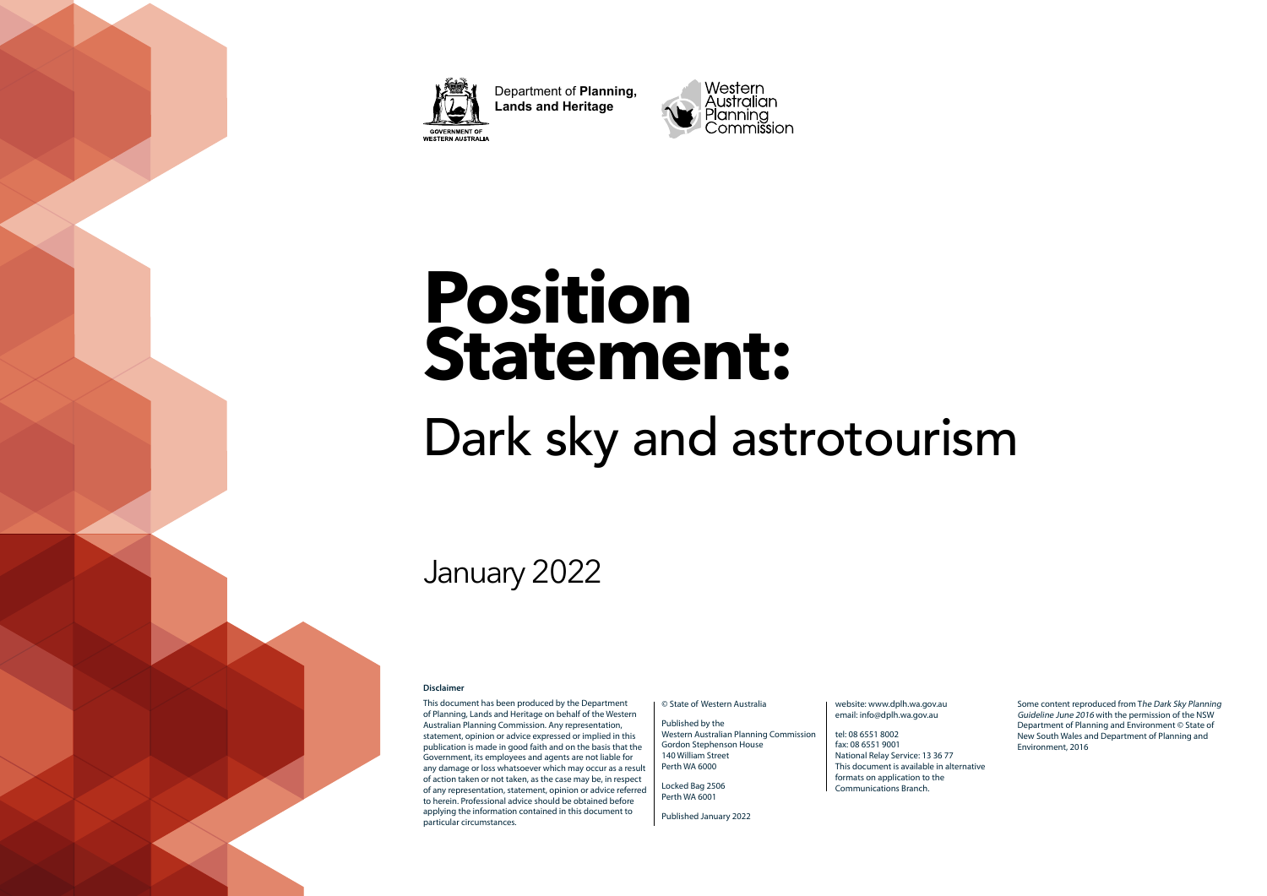

Department of **Planning, Lands and Heritage GOVERNMENT OF<br>WESTERN AUSTRALIA** 



# **Position Statement:**

# Dark sky and astrotourism

## January 2022

#### **Disclaimer**

This document has been produced by the Department of Planning, Lands and Heritage on behalf of the Western Australian Planning Commission. Any representation, statement, opinion or advice expressed or implied in this publication is made in good faith and on the basis that the Government, its employees and agents are not liable for any damage or loss whatsoever which may occur as a result of action taken or not taken, as the case may be, in respect of any representation, statement, opinion or advice referred to herein. Professional advice should be obtained before applying the information contained in this document to particular circumstances.

#### © State of Western Australia

Published by the Western Australian Planning Commission Gordon Stephenson House 140 William Street Perth WA 6000

Locked Bag 2506 Perth WA 6001

Published January 2022

#### website: www.dplh.wa.gov.au email: info@dplh.wa.gov.au

tel: 08 6551 8002 fax: 08 6551 9001 National Relay Service: 13 36 77 This document is available in alternative formats on application to the Communications Branch.

Some content reproduced from The Dark Sky Planning Guideline June 2016 with the permission of the NSW Department of Planning and Environment © State of New South Wales and Department of Planning and Environment, 2016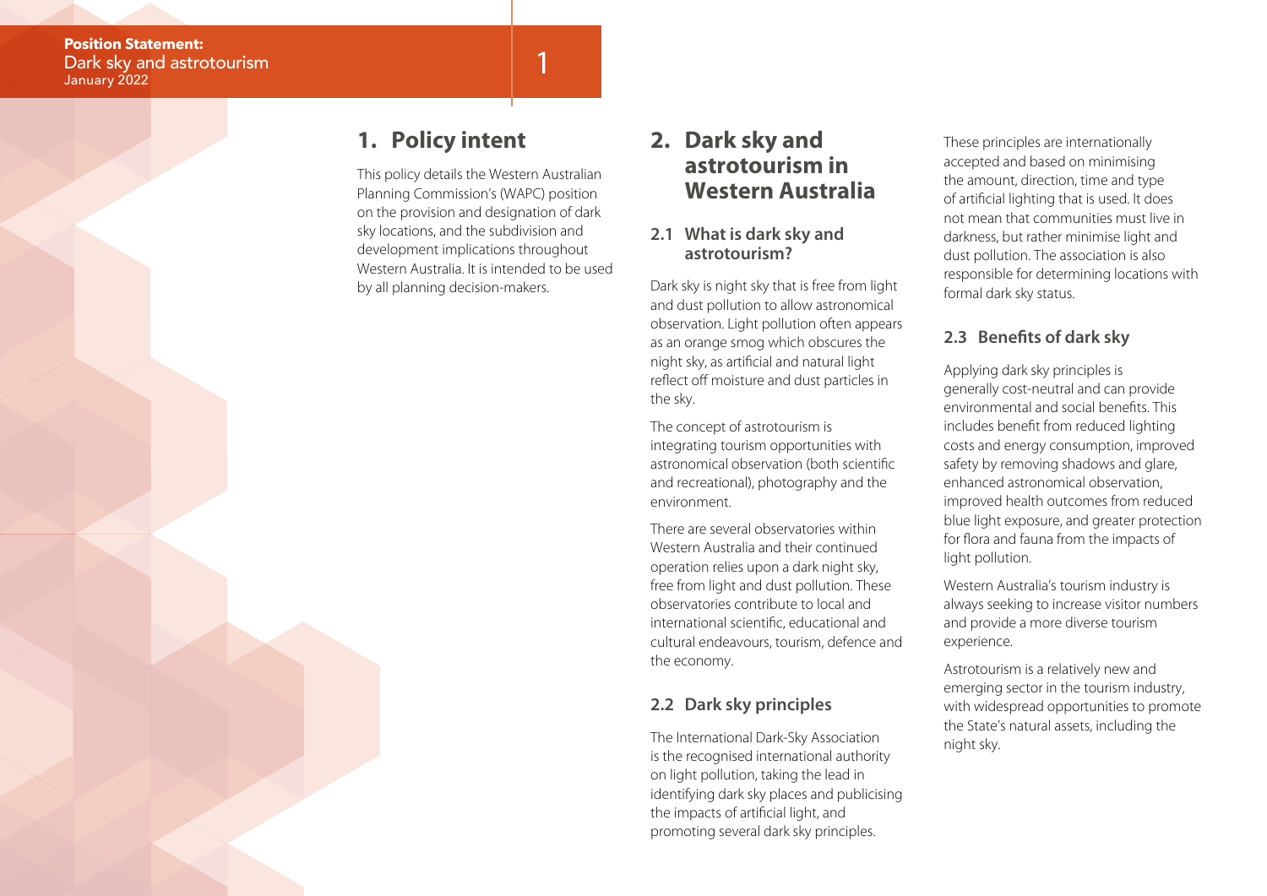## **1. Policy intent**

This policy details the Western Australian Planning Commission's (WAPC) position on the provision and designation of dark sky locations, and the subdivision and development implications throughout Western Australia. It is intended to be used by all planning decision-makers.

1

## **2. Dark sky and astrotourism in Western Australia**

#### **2.1 What is dark sky and astrotourism?**

Dark sky is night sky that is free from light and dust pollution to allow astronomical observation. Light pollution often appears as an orange smog which obscures the night sky, as artificial and natural light reflect off moisture and dust particles in the sky.

The concept of astrotourism is integrating tourism opportunities with astronomical observation (both scientific and recreational), photography and the environment.

There are several observatories within Western Australia and their continued operation relies upon a dark night sky, free from light and dust pollution. These observatories contribute to local and international scientific, educational and cultural endeavours, tourism, defence and the economy.

### **2.2 Dark sky principles**

The International Dark-Sky Association is the recognised international authority on light pollution, taking the lead in identifying dark sky places and publicising the impacts of artificial light, and promoting several dark sky principles.

These principles are internationally accepted and based on minimising the amount, direction, time and type of artificial lighting that is used. It does not mean that communities must live in darkness, but rather minimise light and dust pollution. The association is also responsible for determining locations with formal dark sky status.

### **2.3 Benefits of dark sky**

Applying dark sky principles is generally cost-neutral and can provide environmental and social benefits. This includes benefit from reduced lighting costs and energy consumption, improved safety by removing shadows and glare, enhanced astronomical observation, improved health outcomes from reduced blue light exposure, and greater protection for flora and fauna from the impacts of light pollution.

Western Australia's tourism industry is always seeking to increase visitor numbers and provide a more diverse tourism experience.

Astrotourism is a relatively new and emerging sector in the tourism industry, with widespread opportunities to promote the State's natural assets, including the night sky.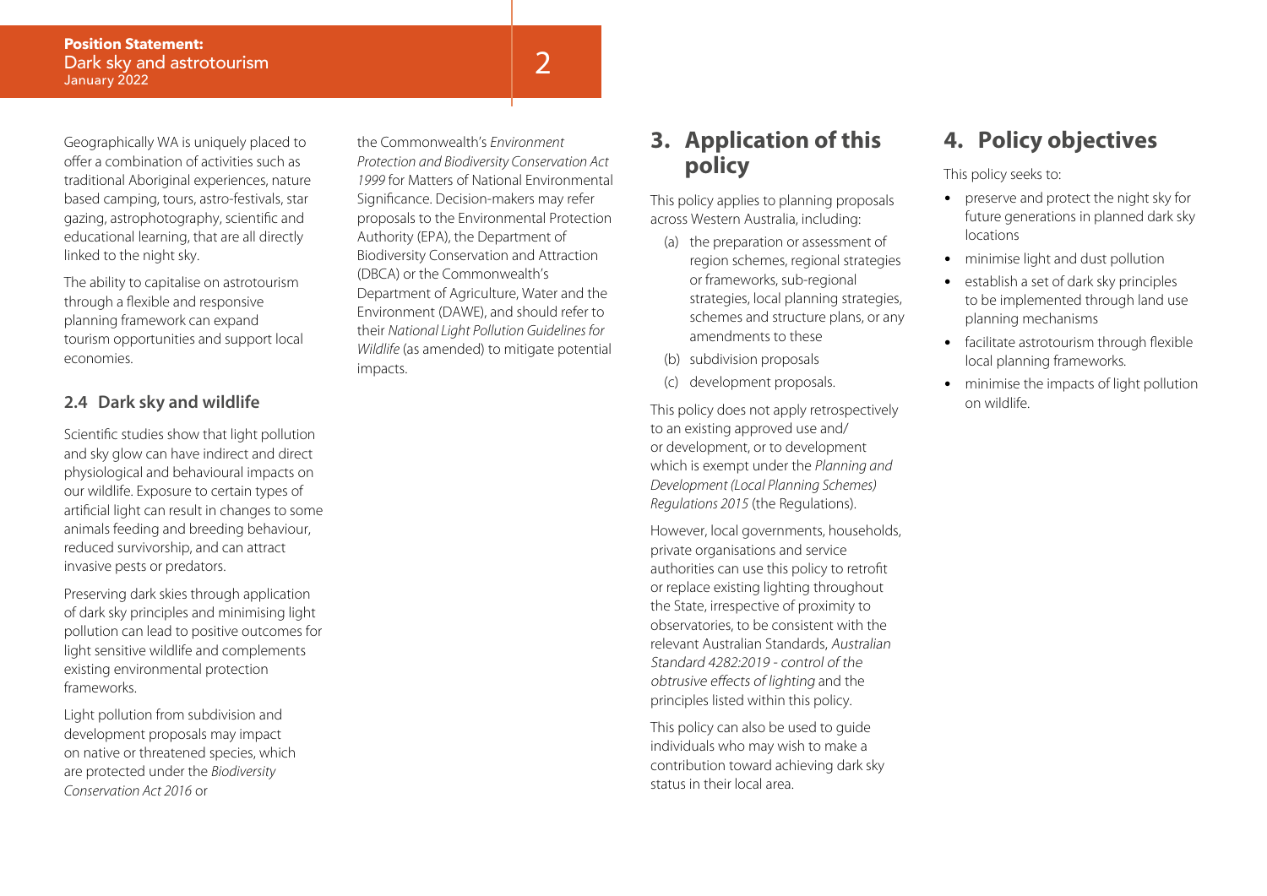Geographically WA is uniquely placed to offer a combination of activities such as traditional Aboriginal experiences, nature based camping, tours, astro-festivals, star gazing, astrophotography, scientific and educational learning, that are all directly linked to the night sky.

The ability to capitalise on astrotourism through a flexible and responsive planning framework can expand tourism opportunities and support local economies.

#### **2.4 Dark sky and wildlife**

Scientific studies show that light pollution and sky glow can have indirect and direct physiological and behavioural impacts on our wildlife. Exposure to certain types of artificial light can result in changes to some animals feeding and breeding behaviour, reduced survivorship, and can attract invasive pests or predators.

Preserving dark skies through application of dark sky principles and minimising light pollution can lead to positive outcomes for light sensitive wildlife and complements existing environmental protection frameworks.

Light pollution from subdivision and development proposals may impact on native or threatened species, which are protected under the *Biodiversity Conservation Act 2016* or

the Commonwealth's *Environment Protection and Biodiversity Conservation Act 1999* for Matters of National Environmental Significance. Decision-makers may refer proposals to the Environmental Protection Authority (EPA), the Department of Biodiversity Conservation and Attraction (DBCA) or the Commonwealth's Department of Agriculture, Water and the Environment (DAWE), and should refer to their *National Light Pollution Guidelines for Wildlife* (as amended) to mitigate potential impacts.

## **3. Application of this policy**

This policy applies to planning proposals across Western Australia, including:

- (a) the preparation or assessment of region schemes, regional strategies or frameworks, sub-regional strategies, local planning strategies, schemes and structure plans, or any amendments to these
- (b) subdivision proposals
- (c) development proposals.

This policy does not apply retrospectively to an existing approved use and/ or development, or to development which is exempt under the *Planning and Development (Local Planning Schemes) Regulations 2015* (the Regulations).

However, local governments, households, private organisations and service authorities can use this policy to retrofit or replace existing lighting throughout the State, irrespective of proximity to observatories, to be consistent with the relevant Australian Standards, Australian Standard 4282:2019 - control of the obtrusive effects of lighting and the principles listed within this policy.

This policy can also be used to guide individuals who may wish to make a contribution toward achieving dark sky status in their local area.

## **4. Policy objectives**

This policy seeks to:

- preserve and protect the night sky for future generations in planned dark sky locations
- minimise light and dust pollution
- establish a set of dark sky principles to be implemented through land use planning mechanisms
- facilitate astrotourism through flexible local planning frameworks.
- minimise the impacts of light pollution on wildlife.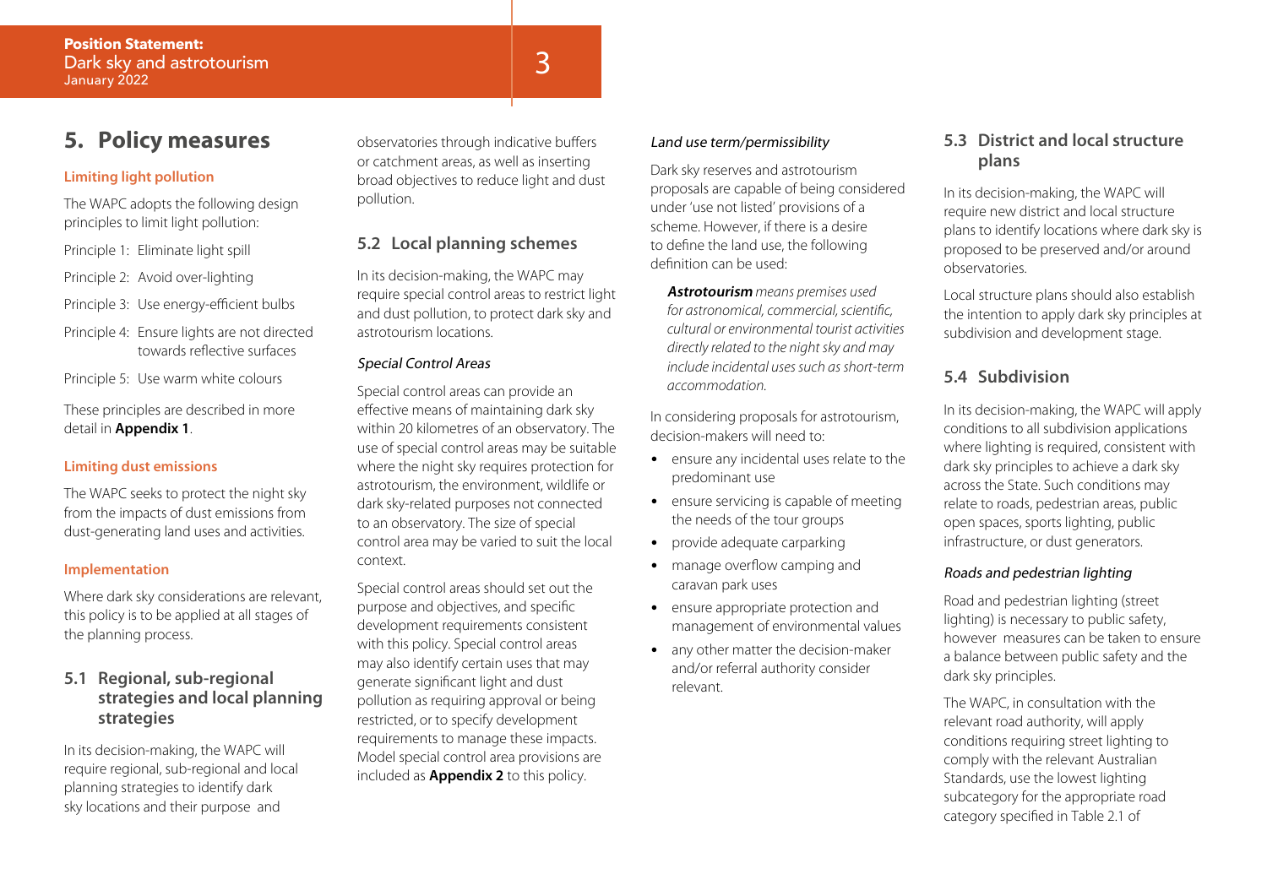## **5. Policy measures**

#### **Limiting light pollution**

The WAPC adopts the following design principles to limit light pollution:

- Principle 1: Eliminate light spill
- Principle 2: Avoid over-lighting
- Principle 3: Use energy-efficient bulbs
- Principle 4: Ensure lights are not directed towards reflective surfaces
- Principle 5: Use warm white colours

These principles are described in more detail in **Appendix 1**.

#### **Limiting dust emissions**

The WAPC seeks to protect the night sky from the impacts of dust emissions from dust-generating land uses and activities.

#### **Implementation**

Where dark sky considerations are relevant, this policy is to be applied at all stages of the planning process.

#### **5.1 Regional, sub-regional strategies and local planning strategies**

In its decision-making, the WAPC will require regional, sub-regional and local planning strategies to identify dark sky locations and their purpose and

observatories through indicative buffers or catchment areas, as well as inserting broad objectives to reduce light and dust pollution.

#### **5.2 Local planning schemes**

In its decision-making, the WAPC may require special control areas to restrict light and dust pollution, to protect dark sky and astrotourism locations.

#### Special Control Areas

Special control areas can provide an effective means of maintaining dark sky within 20 kilometres of an observatory. The use of special control areas may be suitable where the night sky requires protection for astrotourism, the environment, wildlife or dark sky-related purposes not connected to an observatory. The size of special control area may be varied to suit the local context.

Special control areas should set out the purpose and objectives, and specific development requirements consistent with this policy. Special control areas may also identify certain uses that may generate significant light and dust pollution as requiring approval or being restricted, or to specify development requirements to manage these impacts. Model special control area provisions are included as **Appendix 2** to this policy.

#### Land use term/permissibility

Dark sky reserves and astrotourism proposals are capable of being considered under 'use not listed' provisions of a scheme. However, if there is a desire to define the land use, the following definition can be used:

**Astrotourism** *means premises used for astronomical, commercial, scientific, cultural or environmental tourist activities directly related to the night sky and may include incidental uses such as short-term accommodation.* 

In considering proposals for astrotourism, decision-makers will need to:

- ensure any incidental uses relate to the predominant use
- ensure servicing is capable of meeting the needs of the tour groups
- provide adequate carparking
- manage overflow camping and caravan park uses
- ensure appropriate protection and management of environmental values
- any other matter the decision-maker and/or referral authority consider relevant.

#### **5.3 District and local structure plans**

In its decision-making, the WAPC will require new district and local structure plans to identify locations where dark sky is proposed to be preserved and/or around observatories.

Local structure plans should also establish the intention to apply dark sky principles at subdivision and development stage.

#### **5.4 Subdivision**

In its decision-making, the WAPC will apply conditions to all subdivision applications where lighting is required, consistent with dark sky principles to achieve a dark sky across the State. Such conditions may relate to roads, pedestrian areas, public open spaces, sports lighting, public infrastructure, or dust generators.

#### Roads and pedestrian lighting

Road and pedestrian lighting (street lighting) is necessary to public safety, however measures can be taken to ensure a balance between public safety and the dark sky principles.

The WAPC, in consultation with the relevant road authority, will apply conditions requiring street lighting to comply with the relevant Australian Standards, use the lowest lighting subcategory for the appropriate road category specified in Table 2.1 of

## 3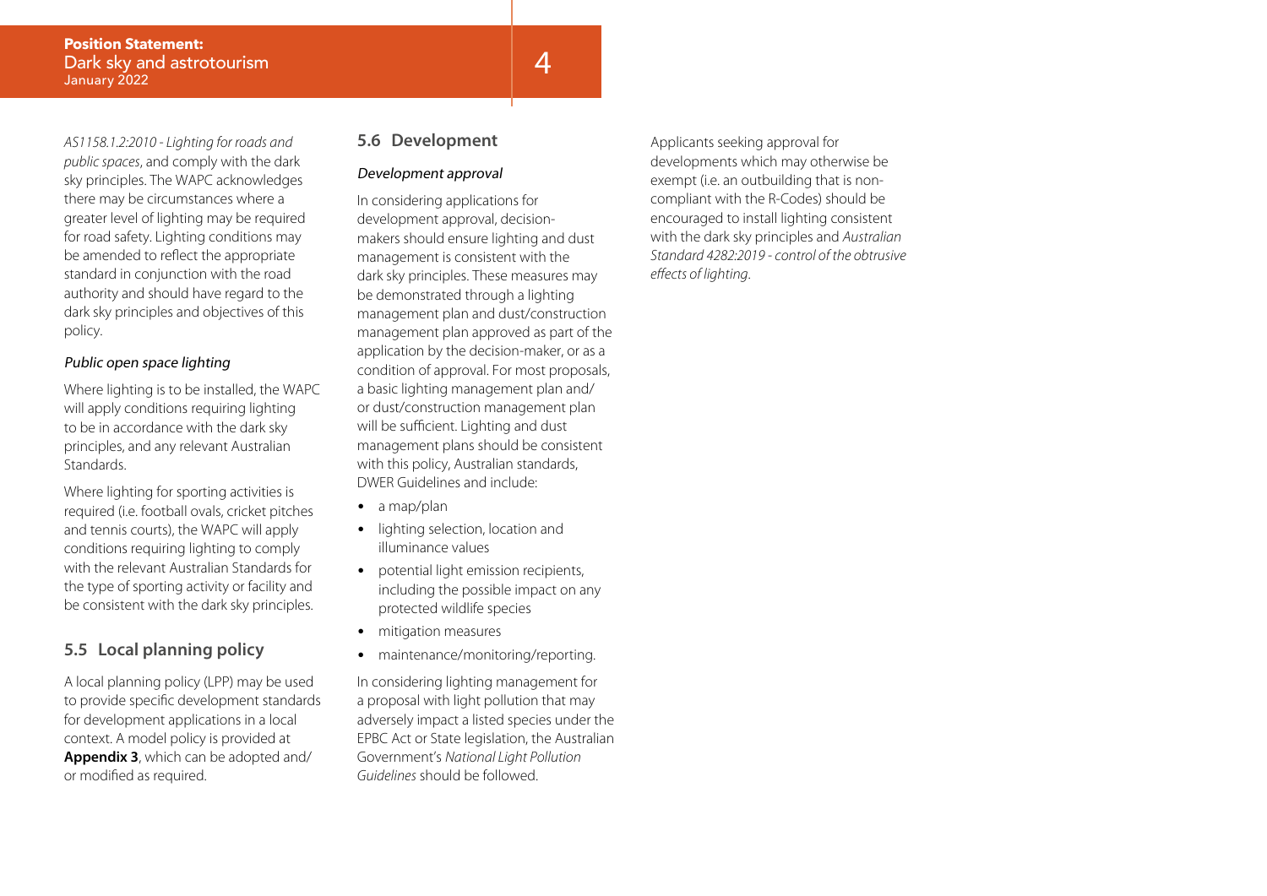*AS1158.1.2:2010 - Lighting for roads and public spaces*, and comply with the dark sky principles. The WAPC acknowledges there may be circumstances where a greater level of lighting may be required for road safety. Lighting conditions may be amended to reflect the appropriate standard in conjunction with the road authority and should have regard to the dark sky principles and objectives of this policy.

#### Public open space lighting

Where lighting is to be installed, the WAPC will apply conditions requiring lighting to be in accordance with the dark sky principles, and any relevant Australian Standards.

Where lighting for sporting activities is required (i.e. football ovals, cricket pitches and tennis courts), the WAPC will apply conditions requiring lighting to comply with the relevant Australian Standards for the type of sporting activity or facility and be consistent with the dark sky principles.

#### **5.5 Local planning policy**

A local planning policy (LPP) may be used to provide specific development standards for development applications in a local context. A model policy is provided at **Appendix 3**, which can be adopted and/ or modified as required.

#### **5.6 Development**

#### Development approval

In considering applications for development approval, decisionmakers should ensure lighting and dust management is consistent with the dark sky principles. These measures may be demonstrated through a lighting management plan and dust/construction management plan approved as part of the application by the decision-maker, or as a condition of approval. For most proposals, a basic lighting management plan and/ or dust/construction management plan will be sufficient. Lighting and dust management plans should be consistent with this policy, Australian standards, DWER Guidelines and include:

- a map/plan
- lighting selection, location and illuminance values
- potential light emission recipients, including the possible impact on any protected wildlife species
- mitigation measures
- maintenance/monitoring/reporting.

In considering lighting management for a proposal with light pollution that may adversely impact a listed species under the EPBC Act or State legislation, the Australian Government's *National Light Pollution Guidelines* should be followed.

Applicants seeking approval for developments which may otherwise be exempt (i.e. an outbuilding that is noncompliant with the R-Codes) should be encouraged to install lighting consistent with the dark sky principles and *Australian Standard 4282:2019 - control of the obtrusive effects of lighting*.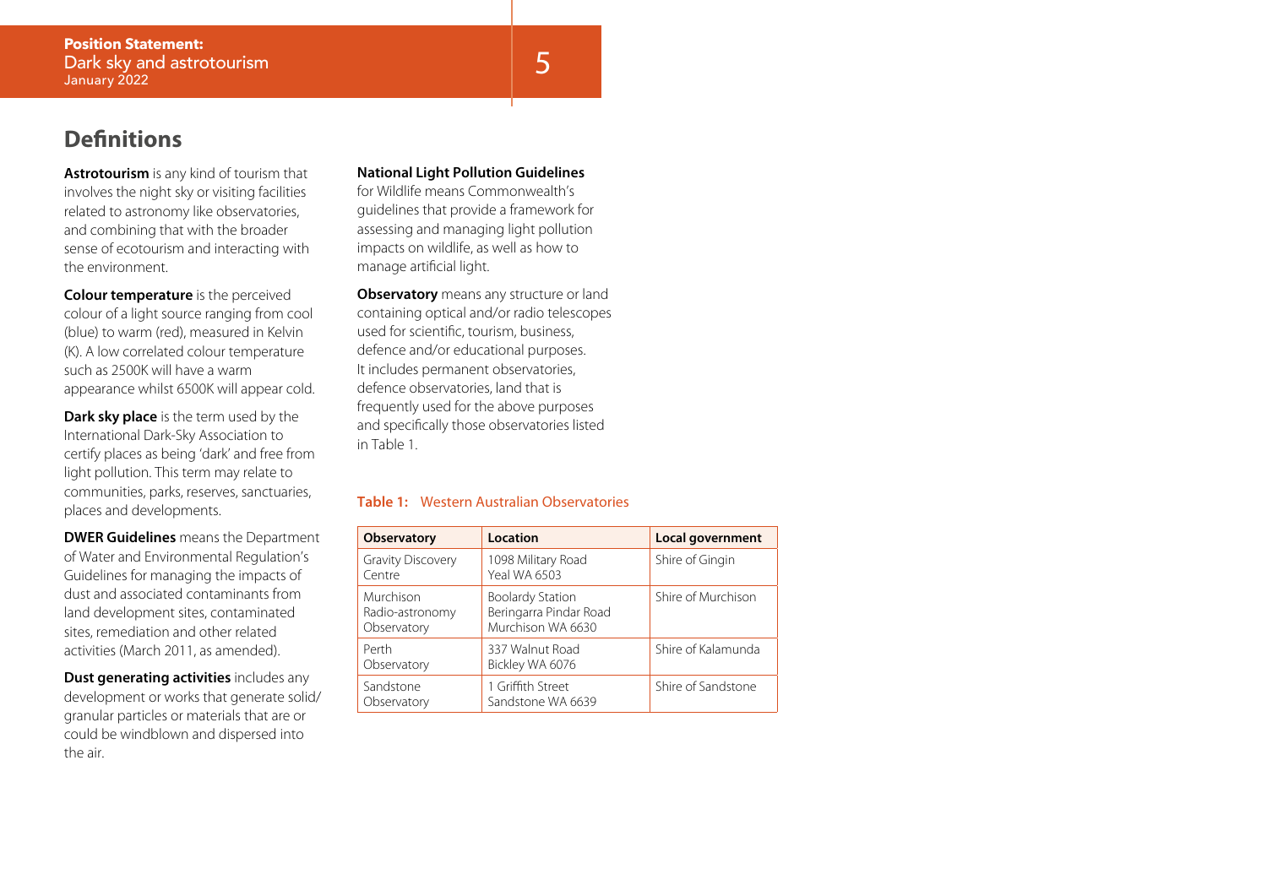## **Definitions**

**Astrotourism** is any kind of tourism that involves the night sky or visiting facilities related to astronomy like observatories, and combining that with the broader sense of ecotourism and interacting with the environment.

**Colour temperature** is the perceived colour of a light source ranging from cool (blue) to warm (red), measured in Kelvin (K). A low correlated colour temperature such as 2500K will have a warm appearance whilst 6500K will appear cold.

**Dark sky place** is the term used by the International Dark-Sky Association to certify places as being 'dark' and free from light pollution. This term may relate to communities, parks, reserves, sanctuaries, places and developments.

**DWER Guidelines** means the Department of Water and Environmental Regulation's Guidelines for managing the impacts of dust and associated contaminants from land development sites, contaminated sites, remediation and other related activities (March 2011, as amended).

**Dust generating activities** includes any development or works that generate solid/ granular particles or materials that are or could be windblown and dispersed into the air.

#### **National Light Pollution Guidelines**

for Wildlife means Commonwealth's guidelines that provide a framework for assessing and managing light pollution impacts on wildlife, as well as how to manage artificial light.

**Observatory** means any structure or land containing optical and/or radio telescopes used for scientific, tourism, business, defence and/or educational purposes. It includes permanent observatories, defence observatories, land that is frequently used for the above purposes and specifically those observatories listed in Table 1.

#### **Table 1:** Western Australian Observatories

| <b>Observatory</b>                          | Location                                                               | Local government   |
|---------------------------------------------|------------------------------------------------------------------------|--------------------|
| <b>Gravity Discovery</b><br>Centre          | 1098 Military Road<br><b>Yeal WA 6503</b>                              | Shire of Gingin    |
| Murchison<br>Radio-astronomy<br>Observatory | <b>Boolardy Station</b><br>Beringarra Pindar Road<br>Murchison WA 6630 | Shire of Murchison |
| Perth<br>Observatory                        | 337 Walnut Road<br>Bickley WA 6076                                     | Shire of Kalamunda |
| Sandstone<br>Observatory                    | 1 Griffith Street<br>Sandstone WA 6639                                 | Shire of Sandstone |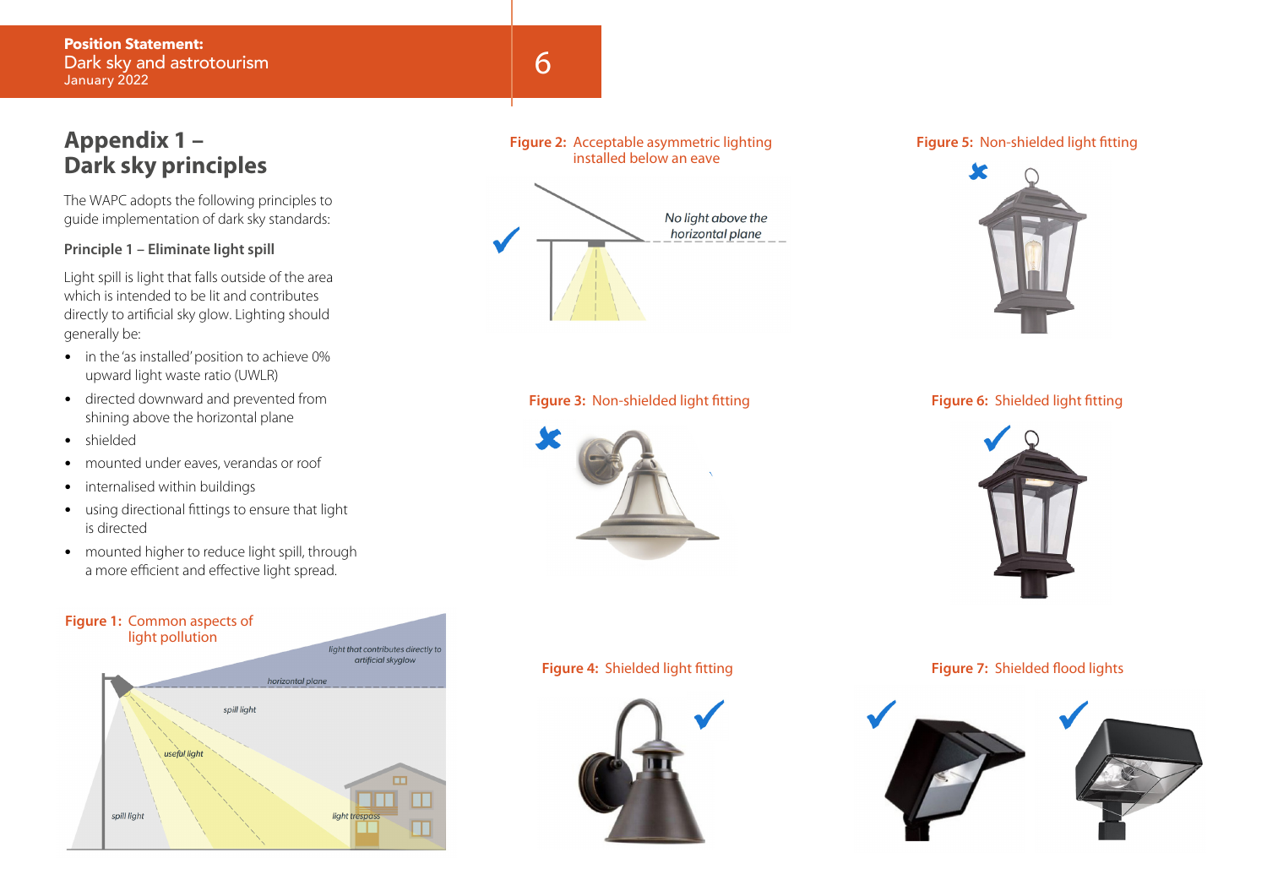## **Appendix 1 – Dark sky principles**

The WAPC adopts the following principles to guide implementation of dark sky standards:

#### **Principle 1 – Eliminate light spill**

Light spill is light that falls outside of the area which is intended to be lit and contributes directly to artificial sky glow. Lighting should generally be:

- in the 'as installed' position to achieve 0% upward light waste ratio (UWLR)
- directed downward and prevented from shining above the horizontal plane
- shielded
- mounted under eaves, verandas or roof
- internalised within buildings
- using directional fittings to ensure that light is directed
- mounted higher to reduce light spill, through a more efficient and effective light spread.





#### **Figure 2:** Acceptable asymmetric lighting installed below an eave



#### **Figure 3:** Non-shielded light fitting **Figure 6:** Shielded light fitting



#### **Figure 5:** Non-shielded light fitting





#### **Figure 4:** Shielded light fitting **Figure 7:** Shielded flood lights



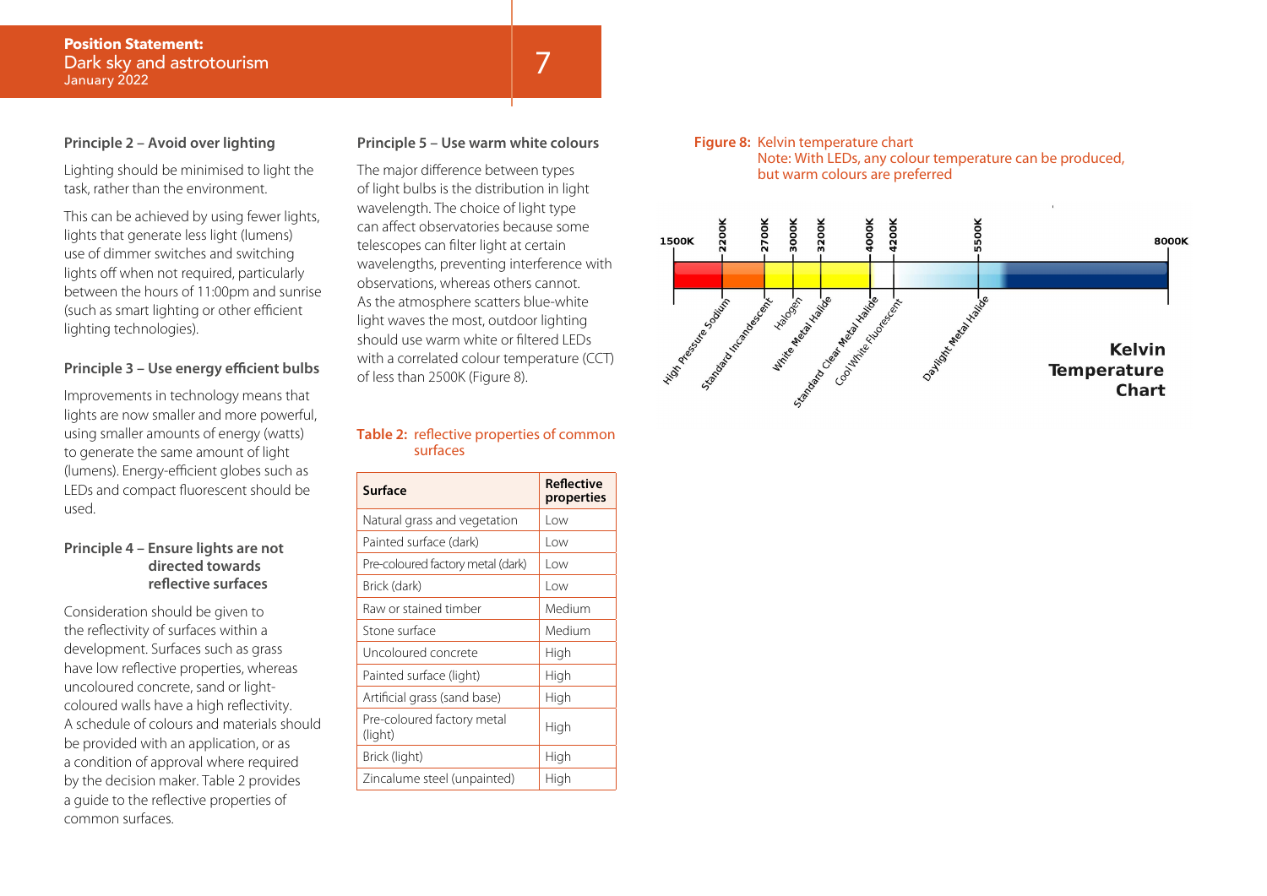#### **Principle 2 – Avoid over lighting**

Lighting should be minimised to light the task, rather than the environment.

This can be achieved by using fewer lights, lights that generate less light (lumens) use of dimmer switches and switching lights off when not required, particularly between the hours of 11:00pm and sunrise (such as smart lighting or other efficient lighting technologies).

#### **Principle 3 – Use energy efficient bulbs**

Improvements in technology means that lights are now smaller and more powerful, using smaller amounts of energy (watts) to generate the same amount of light (lumens). Energy-efficient globes such as LEDs and compact fluorescent should be used.

#### **Principle 4 – Ensure lights are not directed towards reflective surfaces**

Consideration should be given to the reflectivity of surfaces within a development. Surfaces such as grass have low reflective properties, whereas uncoloured concrete, sand or lightcoloured walls have a high reflectivity. A schedule of colours and materials should be provided with an application, or as a condition of approval where required by the decision maker. Table 2 provides a guide to the reflective properties of common surfaces.

#### **Principle 5 – Use warm white colours**

The major difference between types of light bulbs is the distribution in light wavelength. The choice of light type can affect observatories because some telescopes can filter light at certain wavelengths, preventing interference with observations, whereas others cannot. As the atmosphere scatters blue-white light waves the most, outdoor lighting should use warm white or filtered LEDs with a correlated colour temperature (CCT) of less than 2500K (Figure 8).

#### **Table 2:** reflective properties of common surfaces

| Surface                               | <b>Reflective</b><br>properties |
|---------------------------------------|---------------------------------|
| Natural grass and vegetation          | l ow                            |
| Painted surface (dark)                | l ow                            |
| Pre-coloured factory metal (dark)     | l ow                            |
| Brick (dark)                          | l ow                            |
| Raw or stained timber                 | Medium                          |
| Stone surface                         | Medium                          |
| Uncoloured concrete                   | High                            |
| Painted surface (light)               | High                            |
| Artificial grass (sand base)          | High                            |
| Pre-coloured factory metal<br>(light) | High                            |
| Brick (light)                         | High                            |
| Zincalume steel (unpainted)           | High                            |

#### **Figure 8:** Kelvin temperature chart Note: With LEDs, any colour temperature can be produced,

but warm colours are preferred

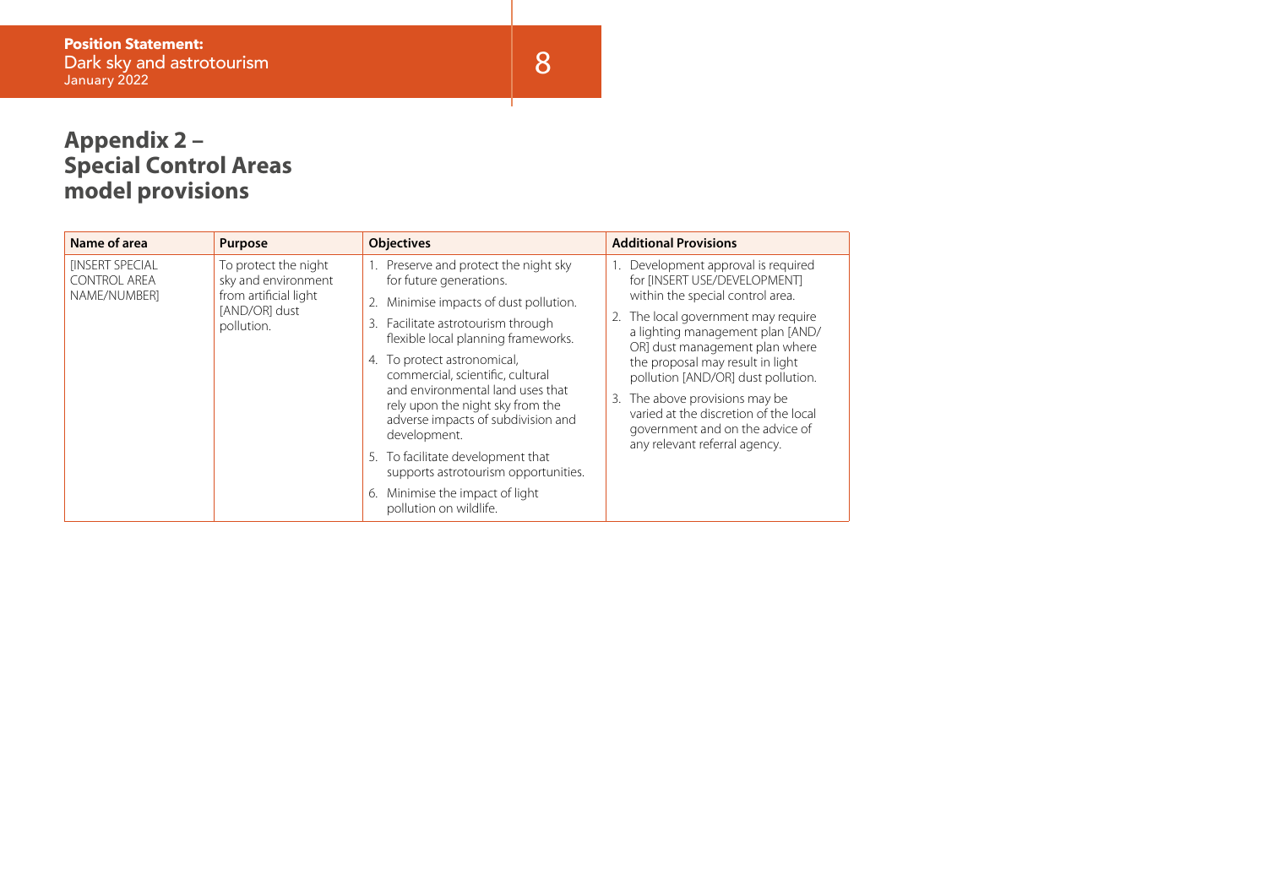┰

## **Appendix 2 – Special Control Areas model provisions**

| Name of area                                 | Purpose                                                                               | <b>Objectives</b>                                                                                                                                                                             | <b>Additional Provisions</b>                                                                                                                |
|----------------------------------------------|---------------------------------------------------------------------------------------|-----------------------------------------------------------------------------------------------------------------------------------------------------------------------------------------------|---------------------------------------------------------------------------------------------------------------------------------------------|
| <b>INSERT SPECIAL</b><br><b>CONTROL AREA</b> | To protect the night<br>sky and environment<br>from artificial light<br>[AND/OR] dust | Preserve and protect the night sky<br>1.<br>for future generations.                                                                                                                           | Development approval is required<br>for [INSERT USE/DEVELOPMENT]                                                                            |
| NAME/NUMBERI                                 |                                                                                       | Minimise impacts of dust pollution.<br>2.                                                                                                                                                     | within the special control area.                                                                                                            |
|                                              | pollution.                                                                            | Facilitate astrotourism through<br>3.<br>flexible local planning frameworks.                                                                                                                  | 2. The local government may require<br>a lighting management plan [AND/<br>OR] dust management plan where                                   |
|                                              |                                                                                       | 4. To protect astronomical,<br>commercial, scientific, cultural<br>and environmental land uses that<br>rely upon the night sky from the<br>adverse impacts of subdivision and<br>development. | the proposal may result in light<br>pollution [AND/OR] dust pollution.                                                                      |
|                                              |                                                                                       |                                                                                                                                                                                               | 3. The above provisions may be<br>varied at the discretion of the local<br>government and on the advice of<br>any relevant referral agency. |
|                                              |                                                                                       | 5. To facilitate development that<br>supports astrotourism opportunities.                                                                                                                     |                                                                                                                                             |
|                                              |                                                                                       | Minimise the impact of light<br>6.<br>pollution on wildlife.                                                                                                                                  |                                                                                                                                             |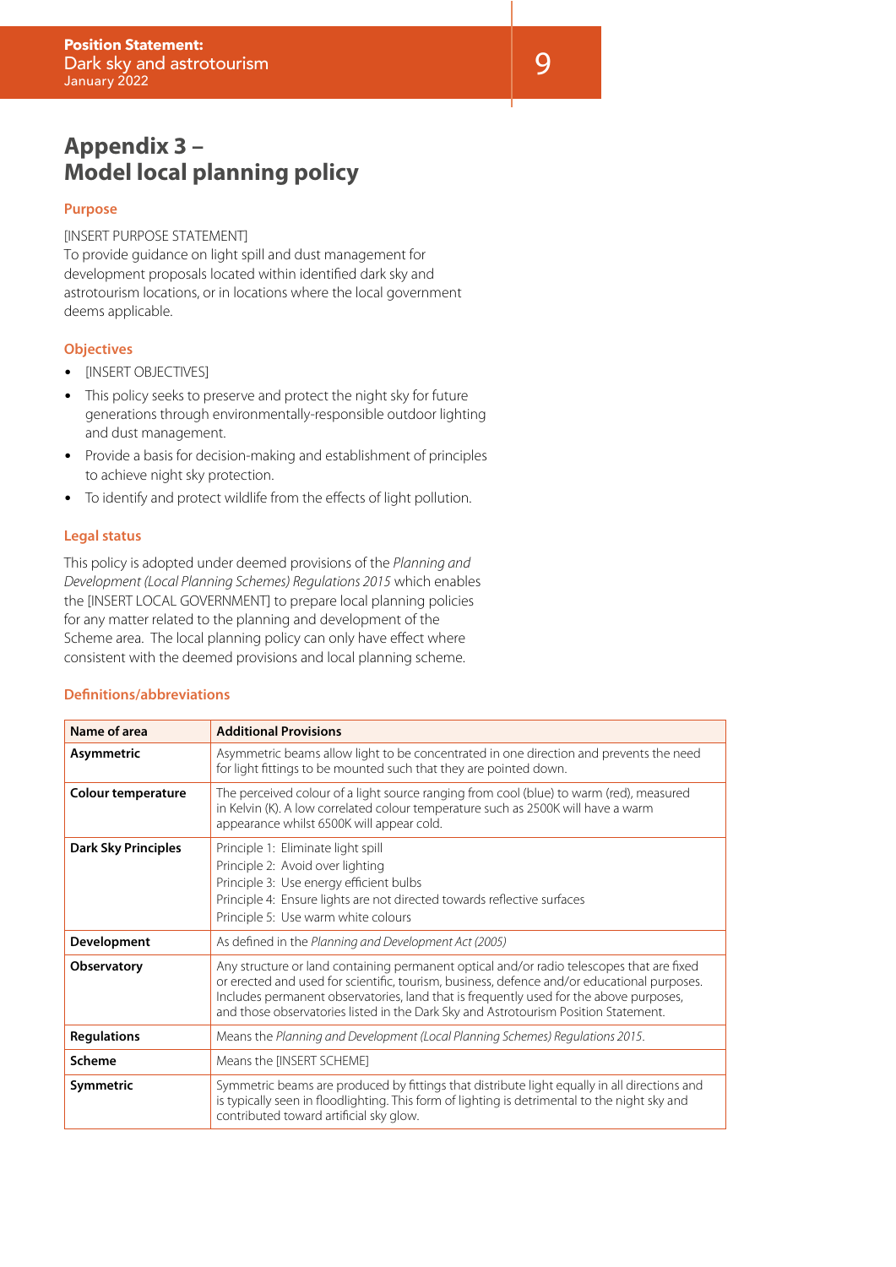## **Appendix 3 – Model local planning policy**

#### **Purpose**

#### [INSERT PURPOSE STATEMENT]

To provide guidance on light spill and dust management for development proposals located within identified dark sky and astrotourism locations, or in locations where the local government deems applicable.

#### **Objectives**

- [INSERT OBJECTIVES]
- This policy seeks to preserve and protect the night sky for future generations through environmentally-responsible outdoor lighting and dust management.
- Provide a basis for decision-making and establishment of principles to achieve night sky protection.
- To identify and protect wildlife from the effects of light pollution.

#### **Legal status**

This policy is adopted under deemed provisions of the *Planning and Development (Local Planning Schemes) Regulations 2015* which enables the [INSERT LOCAL GOVERNMENT] to prepare local planning policies for any matter related to the planning and development of the Scheme area. The local planning policy can only have effect where consistent with the deemed provisions and local planning scheme.

#### **Definitions/abbreviations**

| Name of area               | <b>Additional Provisions</b>                                                                                                                                                                                                                                                                                                                                              |
|----------------------------|---------------------------------------------------------------------------------------------------------------------------------------------------------------------------------------------------------------------------------------------------------------------------------------------------------------------------------------------------------------------------|
| Asymmetric                 | Asymmetric beams allow light to be concentrated in one direction and prevents the need<br>for light fittings to be mounted such that they are pointed down.                                                                                                                                                                                                               |
| <b>Colour temperature</b>  | The perceived colour of a light source ranging from cool (blue) to warm (red), measured<br>in Kelvin (K). A low correlated colour temperature such as 2500K will have a warm<br>appearance whilst 6500K will appear cold.                                                                                                                                                 |
| <b>Dark Sky Principles</b> | Principle 1: Eliminate light spill<br>Principle 2: Avoid over lighting<br>Principle 3: Use energy efficient bulbs<br>Principle 4: Ensure lights are not directed towards reflective surfaces<br>Principle 5: Use warm white colours                                                                                                                                       |
| Development                | As defined in the Planning and Development Act (2005)                                                                                                                                                                                                                                                                                                                     |
| <b>Observatory</b>         | Any structure or land containing permanent optical and/or radio telescopes that are fixed<br>or erected and used for scientific, tourism, business, defence and/or educational purposes.<br>Includes permanent observatories, land that is frequently used for the above purposes,<br>and those observatories listed in the Dark Sky and Astrotourism Position Statement. |
| <b>Regulations</b>         | Means the Planning and Development (Local Planning Schemes) Regulations 2015.                                                                                                                                                                                                                                                                                             |
| Scheme                     | Means the [INSERT SCHEME]                                                                                                                                                                                                                                                                                                                                                 |
| Symmetric                  | Symmetric beams are produced by fittings that distribute light equally in all directions and<br>is typically seen in floodlighting. This form of lighting is detrimental to the night sky and<br>contributed toward artificial sky glow.                                                                                                                                  |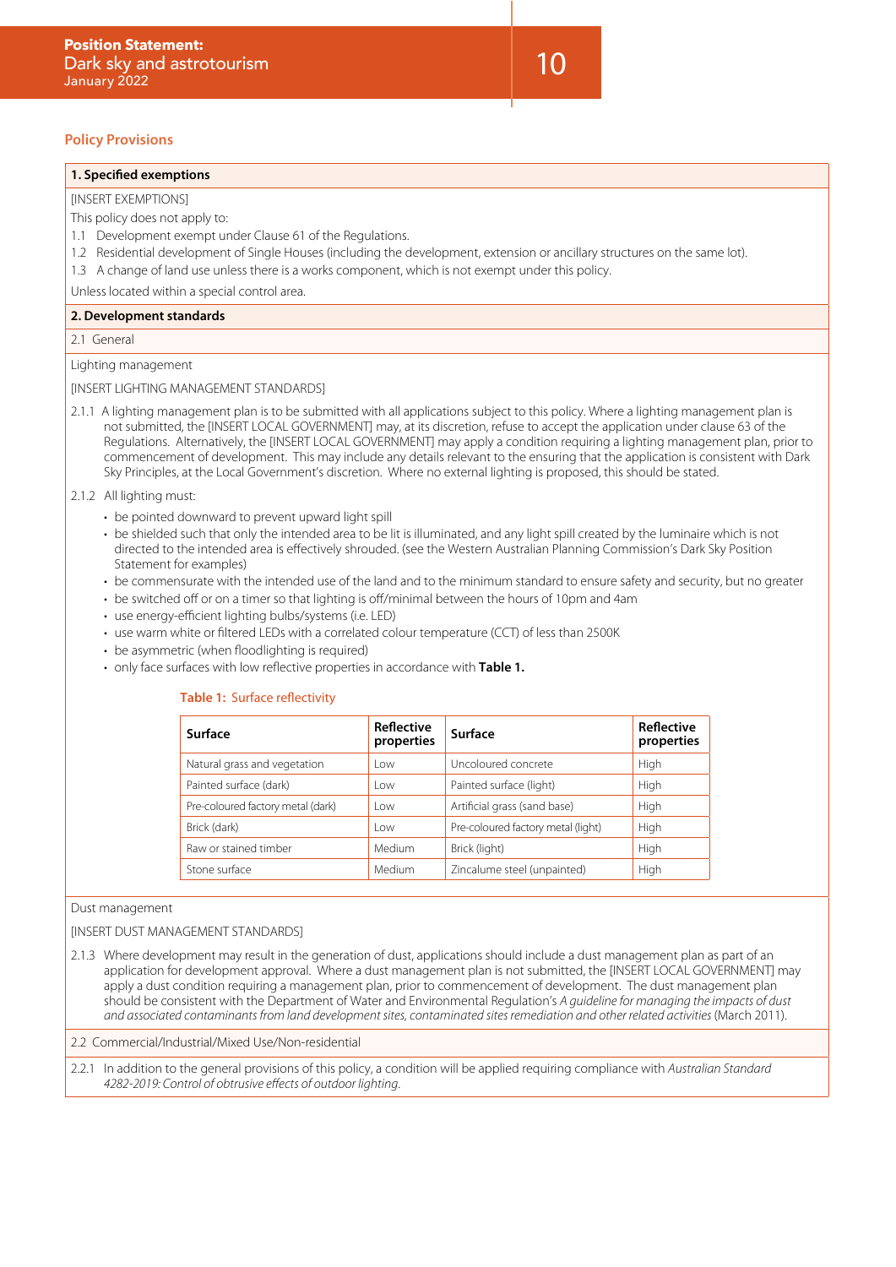#### **Policy Provisions**

#### **1. Specified exemptions**

#### **IINSERT EXEMPTIONS1**

This policy does not apply to:

- 1.1 Development exempt under Clause 61 of the Regulations.
- 1.2 Residential development of Single Houses (including the development, extension or ancillary structures on the same lot).
- 1.3 A change of land use unless there is a works component, which is not exempt under this policy.

Unless located within a special control area.

#### **2. Development standards**

2.1 General

Lighting management

[INSERT LIGHTING MANAGEMENT STANDARDS]

2.1.1 A lighting management plan is to be submitted with all applications subject to this policy. Where a lighting management plan is not submitted, the [INSERT LOCAL GOVERNMENT] may, at its discretion, refuse to accept the application under clause 63 of the Regulations. Alternatively, the [INSERT LOCAL GOVERNMENT] may apply a condition requiring a lighting management plan, prior to commencement of development. This may include any details relevant to the ensuring that the application is consistent with Dark Sky Principles, at the Local Government's discretion. Where no external lighting is proposed, this should be stated.

#### 2.1.2 All lighting must:

- be pointed downward to prevent upward light spill
- be shielded such that only the intended area to be lit is illuminated, and any light spill created by the luminaire which is not directed to the intended area is effectively shrouded. (see the Western Australian Planning Commission's Dark Sky Position Statement for examples)
- be commensurate with the intended use of the land and to the minimum standard to ensure safety and security, but no greater
- be switched off or on a timer so that lighting is off/minimal between the hours of 10pm and 4am
- use energy-efficient lighting bulbs/systems (i.e. LED)
- use warm white or filtered LEDs with a correlated colour temperature (CCT) of less than 2500K
- be asymmetric (when floodlighting is required)
- only face surfaces with low reflective properties in accordance with **Table 1.**

#### **Table 1:** Surface reflectivity

| Surface                           | <b>Reflective</b><br>properties | Surface                            | Reflective<br>properties |
|-----------------------------------|---------------------------------|------------------------------------|--------------------------|
| Natural grass and vegetation      | l ow                            | Uncoloured concrete                | High                     |
| Painted surface (dark)            | l ow                            | Painted surface (light)            | High                     |
| Pre-coloured factory metal (dark) | l ow                            | Artificial grass (sand base)       | High                     |
| Brick (dark)                      | l ow                            | Pre-coloured factory metal (light) | High                     |
| Raw or stained timber             | Medium                          | Brick (light)                      | High                     |
| Stone surface                     | Medium                          | Zincalume steel (unpainted)        | High                     |

#### Dust management

[INSERT DUST MANAGEMENT STANDARDS]

2.1.3 Where development may result in the generation of dust, applications should include a dust management plan as part of an application for development approval. Where a dust management plan is not submitted, the [INSERT LOCAL GOVERNMENT] may apply a dust condition requiring a management plan, prior to commencement of development. The dust management plan should be consistent with the Department of Water and Environmental Regulation's *A guideline for managing the impacts of dust and associated contaminants from land development sites, contaminated sites remediation and other related activities* (March 2011).

2.2 Commercial/Industrial/Mixed Use/Non-residential

2.2.1 In addition to the general provisions of this policy, a condition will be applied requiring compliance with *Australian Standard 4282-2019: Control of obtrusive effects of outdoor lighting*.